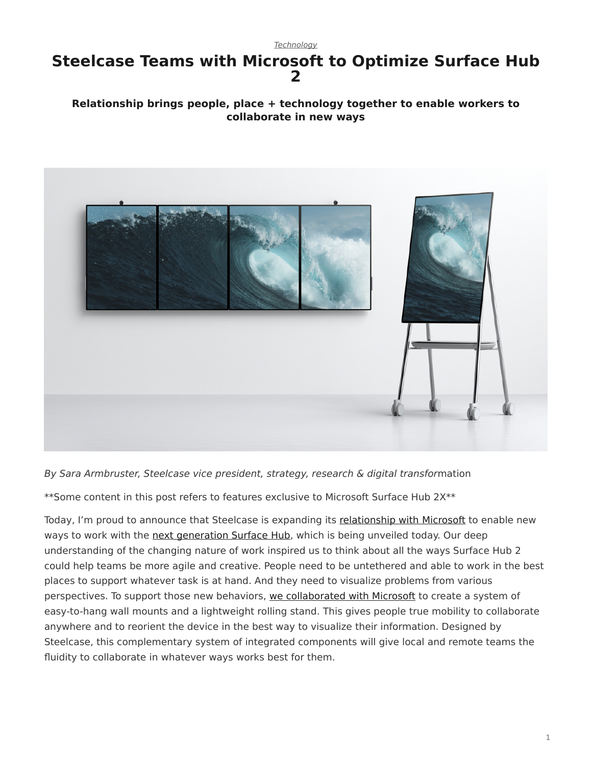#### *[Technology](https://www.steelcase.com/research/topics/technology/)*

### <span id="page-0-0"></span>**Steelcase Teams with Microsoft to Optimize Surface Hub 2**

### **Relationship brings people, place + technology together to enable workers to collaborate in new ways**



*By Sara Armbruster, Steelcase vice president, strategy, research & digital transfor*mation

\*\*Some content in this post refers to features exclusive to Microsoft Surface Hub 2X\*\*

Today, I'm proud to announce that Steelcase is expanding its [relationship with Microsoft](https://www.steelcase.com/microsoft-steelcase/) to enable new ways to work with the [next generation Surface Hub](https://www.microsoft.com/en-us/surface/business/surface-hub-2), which is being unveiled today. Our deep understanding of the changing nature of work inspired us to think about all the ways Surface Hub 2 could help teams be more agile and creative. People need to be untethered and able to work in the best places to support whatever task is at hand. And they need to visualize problems from various perspectives. To support those new behaviors, [we collaborated with Microsoft](https://www.steelcase.com/products/collaboration/steelcase-roam/) to create a system of easy-to-hang wall mounts and a lightweight rolling stand. This gives people true mobility to collaborate anywhere and to reorient the device in the best way to visualize their information. Designed by Steelcase, this complementary system of integrated components will give local and remote teams the fluidity to collaborate in whatever ways works best for them.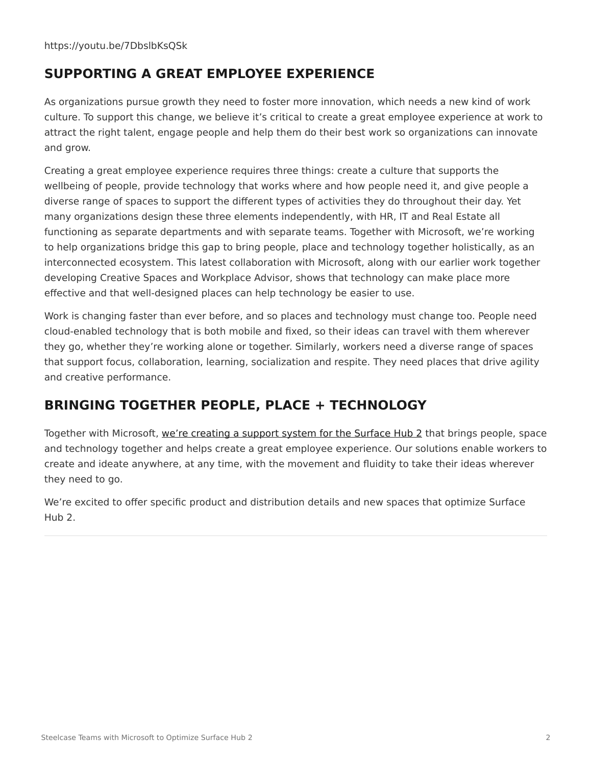## **SUPPORTING A GREAT EMPLOYEE EXPERIENCE**

As organizations pursue growth they need to foster more innovation, which needs a new kind of work culture. To support this change, we believe it's critical to create a great employee experience at work to attract the right talent, engage people and help them do their best work so organizations can innovate and grow.

Creating a great employee experience requires three things: create a culture that supports the wellbeing of people, provide technology that works where and how people need it, and give people a diverse range of spaces to support the different types of activities they do throughout their day. Yet many organizations design these three elements independently, with HR, IT and Real Estate all functioning as separate departments and with separate teams. Together with Microsoft, we're working to help organizations bridge this gap to bring people, place and technology together holistically, as an interconnected ecosystem. This latest collaboration with Microsoft, along with our earlier work together developing Creative Spaces and Workplace Advisor, shows that technology can make place more effective and that well-designed places can help technology be easier to use.

Work is changing faster than ever before, and so places and technology must change too. People need cloud-enabled technology that is both mobile and fixed, so their ideas can travel with them wherever they go, whether they're working alone or together. Similarly, workers need a diverse range of spaces that support focus, collaboration, learning, socialization and respite. They need places that drive agility and creative performance.

# **BRINGING TOGETHER PEOPLE, PLACE + TECHNOLOGY**

Together with Microsoft, [we're creating a support system for the Surface Hub 2](https://www.steelcase.com/products/collaboration/steelcase-roam/) that brings people, space and technology together and helps create a great employee experience. Our solutions enable workers to create and ideate anywhere, at any time, with the movement and fluidity to take their ideas wherever they need to go.

We're excited to offer specific product and distribution details and new spaces that optimize Surface Hub 2.